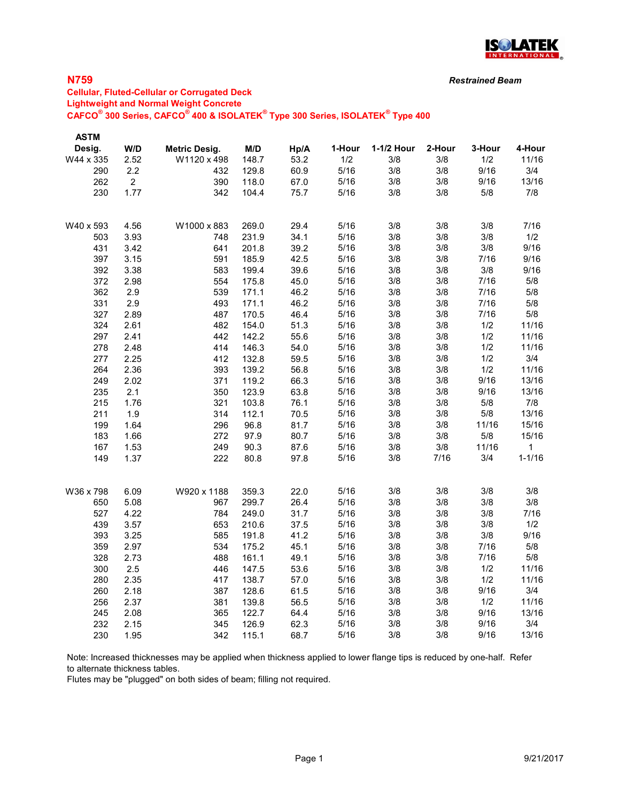

## N759

## Cellular, Fluted-Cellular or Corrugated Deck Lightweight and Normal Weight Concrete  $\mathsf{CAFCO}^\circ$  300 Series,  $\mathsf{CAFCO}^\circ$  400 & ISOLATEK $^\circ$  Type 300 Series, ISOLATEK $^\circ$  Type 400

| <b>ASTM</b><br>Desig. | W/D            | Metric Desig. | M/D   | Hp/A | 1-Hour | 1-1/2 Hour | 2-Hour | 3-Hour | 4-Hour     |
|-----------------------|----------------|---------------|-------|------|--------|------------|--------|--------|------------|
| W44 x 335             | 2.52           | W1120 x 498   | 148.7 | 53.2 | 1/2    | 3/8        | 3/8    | 1/2    | 11/16      |
| 290                   | 2.2            | 432           | 129.8 | 60.9 | 5/16   | 3/8        | 3/8    | 9/16   | 3/4        |
| 262                   | $\overline{2}$ | 390           | 118.0 | 67.0 | 5/16   | 3/8        | 3/8    | 9/16   | 13/16      |
| 230                   | 1.77           | 342           | 104.4 | 75.7 | 5/16   | 3/8        | 3/8    | 5/8    | 7/8        |
| W40 x 593             | 4.56           | W1000 x 883   | 269.0 | 29.4 | 5/16   | 3/8        | 3/8    | 3/8    | 7/16       |
| 503                   | 3.93           | 748           | 231.9 | 34.1 | 5/16   | 3/8        | 3/8    | 3/8    | 1/2        |
| 431                   | 3.42           | 641           | 201.8 | 39.2 | 5/16   | 3/8        | 3/8    | 3/8    | 9/16       |
| 397                   | 3.15           | 591           | 185.9 | 42.5 | 5/16   | 3/8        | 3/8    | 7/16   | 9/16       |
| 392                   | 3.38           | 583           | 199.4 | 39.6 | 5/16   | 3/8        | 3/8    | 3/8    | 9/16       |
| 372                   | 2.98           | 554           | 175.8 | 45.0 | 5/16   | 3/8        | 3/8    | 7/16   | 5/8        |
| 362                   | 2.9            | 539           | 171.1 | 46.2 | 5/16   | 3/8        | 3/8    | 7/16   | 5/8        |
| 331                   | 2.9            | 493           | 171.1 | 46.2 | 5/16   | 3/8        | 3/8    | 7/16   | 5/8        |
| 327                   | 2.89           | 487           | 170.5 | 46.4 | $5/16$ | 3/8        | 3/8    | 7/16   | 5/8        |
| 324                   | 2.61           | 482           | 154.0 | 51.3 | 5/16   | 3/8        | 3/8    | 1/2    | 11/16      |
| 297                   | 2.41           | 442           | 142.2 | 55.6 | 5/16   | 3/8        | 3/8    | 1/2    | 11/16      |
| 278                   | 2.48           | 414           | 146.3 | 54.0 | 5/16   | 3/8        | 3/8    | 1/2    | 11/16      |
| 277                   | 2.25           | 412           | 132.8 | 59.5 | 5/16   | 3/8        | 3/8    | 1/2    | 3/4        |
| 264                   | 2.36           | 393           | 139.2 | 56.8 | 5/16   | 3/8        | 3/8    | 1/2    | 11/16      |
| 249                   | 2.02           | 371           | 119.2 | 66.3 | 5/16   | 3/8        | 3/8    | 9/16   | 13/16      |
| 235                   | 2.1            | 350           | 123.9 | 63.8 | 5/16   | 3/8        | 3/8    | 9/16   | 13/16      |
| 215                   | 1.76           | 321           | 103.8 | 76.1 | 5/16   | 3/8        | 3/8    | 5/8    | 7/8        |
| 211                   | 1.9            | 314           | 112.1 | 70.5 | 5/16   | 3/8        | 3/8    | 5/8    | 13/16      |
| 199                   | 1.64           | 296           | 96.8  | 81.7 | 5/16   | 3/8        | 3/8    | 11/16  | 15/16      |
| 183                   | 1.66           | 272           | 97.9  | 80.7 | 5/16   | 3/8        | 3/8    | 5/8    | 15/16      |
| 167                   | 1.53           | 249           | 90.3  | 87.6 | 5/16   | 3/8        | 3/8    | 11/16  | 1          |
| 149                   | 1.37           | 222           | 80.8  | 97.8 | 5/16   | 3/8        | 7/16   | 3/4    | $1 - 1/16$ |
| W36 x 798             | 6.09           | W920 x 1188   | 359.3 | 22.0 | $5/16$ | 3/8        | 3/8    | 3/8    | 3/8        |
| 650                   | 5.08           | 967           | 299.7 | 26.4 | 5/16   | 3/8        | 3/8    | 3/8    | 3/8        |
| 527                   | 4.22           | 784           | 249.0 | 31.7 | 5/16   | 3/8        | 3/8    | 3/8    | 7/16       |
| 439                   | 3.57           | 653           | 210.6 | 37.5 | 5/16   | 3/8        | 3/8    | 3/8    | 1/2        |
| 393                   | 3.25           | 585           | 191.8 | 41.2 | 5/16   | 3/8        | 3/8    | 3/8    | 9/16       |
| 359                   | 2.97           | 534           | 175.2 | 45.1 | 5/16   | 3/8        | 3/8    | 7/16   | 5/8        |
| 328                   | 2.73           | 488           | 161.1 | 49.1 | 5/16   | 3/8        | 3/8    | 7/16   | 5/8        |
| 300                   | 2.5            | 446           | 147.5 | 53.6 | 5/16   | 3/8        | 3/8    | 1/2    | 11/16      |
| 280                   | 2.35           | 417           | 138.7 | 57.0 | 5/16   | 3/8        | 3/8    | 1/2    | 11/16      |
| 260                   | 2.18           | 387           | 128.6 | 61.5 | 5/16   | 3/8        | 3/8    | 9/16   | 3/4        |
| 256                   | 2.37           | 381           | 139.8 | 56.5 | 5/16   | 3/8        | 3/8    | 1/2    | 11/16      |
| 245                   | 2.08           | 365           | 122.7 | 64.4 | 5/16   | 3/8        | 3/8    | 9/16   | 13/16      |
| 232                   | 2.15           | 345           | 126.9 | 62.3 | 5/16   | 3/8        | 3/8    | 9/16   | 3/4        |
| 230                   | 1.95           | 342           | 115.1 | 68.7 | 5/16   | 3/8        | 3/8    | 9/16   | 13/16      |

Note: Increased thicknesses may be applied when thickness applied to lower flange tips is reduced by one-half. Refer to alternate thickness tables.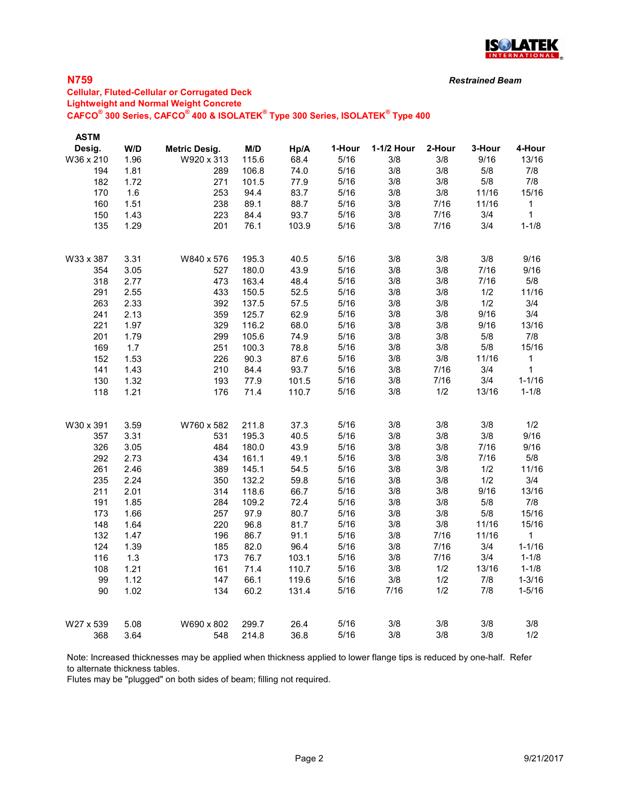

## N759

### Cellular, Fluted-Cellular or Corrugated Deck Lightweight and Normal Weight Concrete  $\mathsf{CAFCO}^\circ$  300 Series,  $\mathsf{CAFCO}^\circ$  400 & ISOLATEK $^\circ$  Type 300 Series, ISOLATEK $^\circ$  Type 400

| <b>ASTM</b> |      |                      |       |       |        |            |        |        |              |
|-------------|------|----------------------|-------|-------|--------|------------|--------|--------|--------------|
| Desig.      | W/D  | <b>Metric Desig.</b> | M/D   | Hp/A  | 1-Hour | 1-1/2 Hour | 2-Hour | 3-Hour | 4-Hour       |
| W36 x 210   | 1.96 | W920 x 313           | 115.6 | 68.4  | 5/16   | 3/8        | 3/8    | 9/16   | 13/16        |
| 194         | 1.81 | 289                  | 106.8 | 74.0  | 5/16   | 3/8        | 3/8    | 5/8    | 7/8          |
| 182         | 1.72 | 271                  | 101.5 | 77.9  | 5/16   | 3/8        | 3/8    | 5/8    | 7/8          |
| 170         | 1.6  | 253                  | 94.4  | 83.7  | 5/16   | 3/8        | $3/8$  | 11/16  | 15/16        |
| 160         | 1.51 | 238                  | 89.1  | 88.7  | 5/16   | 3/8        | 7/16   | 11/16  | $\mathbf{1}$ |
| 150         | 1.43 | 223                  | 84.4  | 93.7  | 5/16   | 3/8        | 7/16   | 3/4    | $\mathbf{1}$ |
| 135         | 1.29 | 201                  | 76.1  | 103.9 | 5/16   | 3/8        | 7/16   | 3/4    | $1 - 1/8$    |
| W33 x 387   | 3.31 | W840 x 576           | 195.3 | 40.5  | 5/16   | 3/8        | 3/8    | 3/8    | 9/16         |
| 354         | 3.05 | 527                  | 180.0 | 43.9  | 5/16   | 3/8        | 3/8    | 7/16   | 9/16         |
| 318         | 2.77 | 473                  | 163.4 | 48.4  | 5/16   | 3/8        | 3/8    | 7/16   | 5/8          |
| 291         | 2.55 | 433                  | 150.5 | 52.5  | 5/16   | 3/8        | 3/8    | 1/2    | 11/16        |
| 263         | 2.33 | 392                  | 137.5 | 57.5  | 5/16   | 3/8        | 3/8    | 1/2    | 3/4          |
| 241         | 2.13 | 359                  | 125.7 | 62.9  | 5/16   | 3/8        | 3/8    | 9/16   | 3/4          |
| 221         | 1.97 | 329                  | 116.2 | 68.0  | 5/16   | 3/8        | 3/8    | 9/16   | 13/16        |
| 201         | 1.79 | 299                  | 105.6 | 74.9  | 5/16   | 3/8        | 3/8    | $5/8$  | 7/8          |
| 169         | 1.7  | 251                  | 100.3 | 78.8  | 5/16   | 3/8        | 3/8    | $5/8$  | 15/16        |
| 152         | 1.53 | 226                  | 90.3  | 87.6  | 5/16   | 3/8        | 3/8    | 11/16  | 1            |
| 141         | 1.43 | 210                  | 84.4  | 93.7  | 5/16   | 3/8        | 7/16   | 3/4    | $\mathbf{1}$ |
| 130         | 1.32 | 193                  | 77.9  | 101.5 | 5/16   | 3/8        | 7/16   | 3/4    | $1 - 1/16$   |
| 118         | 1.21 | 176                  | 71.4  | 110.7 | 5/16   | 3/8        | 1/2    | 13/16  | $1 - 1/8$    |
| W30 x 391   | 3.59 | W760 x 582           | 211.8 | 37.3  | 5/16   | 3/8        | 3/8    | 3/8    | 1/2          |
| 357         | 3.31 | 531                  | 195.3 | 40.5  | 5/16   | 3/8        | 3/8    | $3/8$  | 9/16         |
| 326         | 3.05 | 484                  | 180.0 | 43.9  | 5/16   | 3/8        | 3/8    | 7/16   | 9/16         |
| 292         | 2.73 | 434                  | 161.1 | 49.1  | 5/16   | 3/8        | 3/8    | 7/16   | 5/8          |
| 261         | 2.46 | 389                  | 145.1 | 54.5  | 5/16   | 3/8        | 3/8    | 1/2    | 11/16        |
| 235         | 2.24 | 350                  | 132.2 | 59.8  | 5/16   | 3/8        | 3/8    | 1/2    | 3/4          |
| 211         | 2.01 | 314                  | 118.6 | 66.7  | 5/16   | 3/8        | 3/8    | 9/16   | 13/16        |
| 191         | 1.85 | 284                  | 109.2 | 72.4  | 5/16   | 3/8        | 3/8    | 5/8    | 7/8          |
| 173         | 1.66 | 257                  | 97.9  | 80.7  | 5/16   | 3/8        | 3/8    | $5/8$  | 15/16        |
| 148         | 1.64 | 220                  | 96.8  | 81.7  | $5/16$ | 3/8        | 3/8    | 11/16  | 15/16        |
| 132         | 1.47 | 196                  | 86.7  | 91.1  | $5/16$ | 3/8        | 7/16   | 11/16  | 1            |
| 124         | 1.39 | 185                  | 82.0  | 96.4  | 5/16   | 3/8        | 7/16   | 3/4    | $1 - 1/16$   |
| 116         | 1.3  | 173                  | 76.7  | 103.1 | 5/16   | 3/8        | 7/16   | 3/4    | $1 - 1/8$    |
| 108         | 1.21 | 161                  | 71.4  | 110.7 | 5/16   | 3/8        | 1/2    | 13/16  | $1 - 1/8$    |
| 99          | 1.12 | 147                  | 66.1  | 119.6 | 5/16   | 3/8        | 1/2    | 7/8    | $1 - 3/16$   |
| 90          | 1.02 | 134                  | 60.2  | 131.4 | 5/16   | 7/16       | 1/2    | 7/8    | $1 - 5/16$   |
| W27 x 539   | 5.08 | W690 x 802           | 299.7 | 26.4  | 5/16   | 3/8        | 3/8    | 3/8    | 3/8          |
| 368         | 3.64 | 548                  | 214.8 | 36.8  | 5/16   | 3/8        | 3/8    | 3/8    | 1/2          |

Note: Increased thicknesses may be applied when thickness applied to lower flange tips is reduced by one-half. Refer to alternate thickness tables.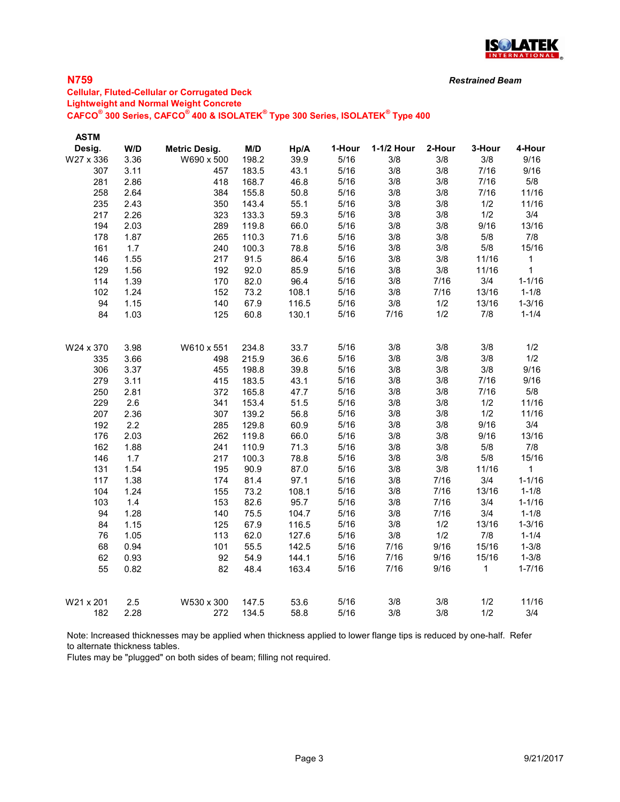

## N759

## Cellular, Fluted-Cellular or Corrugated Deck Lightweight and Normal Weight Concrete  $\mathsf{CAFCO}^\circ$  300 Series,  $\mathsf{CAFCO}^\circ$  400 & ISOLATEK $^\circ$  Type 300 Series, ISOLATEK $^\circ$  Type 400

| <b>ASTM</b> |      |                      |       |       |        |            |        |        |              |
|-------------|------|----------------------|-------|-------|--------|------------|--------|--------|--------------|
| Desig.      | W/D  | <b>Metric Desig.</b> | M/D   | Hp/A  | 1-Hour | 1-1/2 Hour | 2-Hour | 3-Hour | 4-Hour       |
| W27 x 336   | 3.36 | W690 x 500           | 198.2 | 39.9  | 5/16   | 3/8        | 3/8    | 3/8    | 9/16         |
| 307         | 3.11 | 457                  | 183.5 | 43.1  | 5/16   | 3/8        | 3/8    | 7/16   | 9/16         |
| 281         | 2.86 | 418                  | 168.7 | 46.8  | 5/16   | 3/8        | 3/8    | 7/16   | 5/8          |
| 258         | 2.64 | 384                  | 155.8 | 50.8  | 5/16   | 3/8        | 3/8    | 7/16   | 11/16        |
| 235         | 2.43 | 350                  | 143.4 | 55.1  | 5/16   | 3/8        | 3/8    | 1/2    | 11/16        |
| 217         | 2.26 | 323                  | 133.3 | 59.3  | 5/16   | 3/8        | 3/8    | 1/2    | 3/4          |
| 194         | 2.03 | 289                  | 119.8 | 66.0  | 5/16   | 3/8        | 3/8    | 9/16   | 13/16        |
| 178         | 1.87 | 265                  | 110.3 | 71.6  | 5/16   | 3/8        | 3/8    | $5/8$  | 7/8          |
| 161         | 1.7  | 240                  | 100.3 | 78.8  | 5/16   | 3/8        | 3/8    | 5/8    | 15/16        |
| 146         | 1.55 | 217                  | 91.5  | 86.4  | 5/16   | 3/8        | 3/8    | 11/16  | $\mathbf 1$  |
| 129         | 1.56 | 192                  | 92.0  | 85.9  | 5/16   | 3/8        | 3/8    | 11/16  | $\mathbf{1}$ |
| 114         | 1.39 | 170                  | 82.0  | 96.4  | 5/16   | 3/8        | 7/16   | 3/4    | $1 - 1/16$   |
| 102         | 1.24 | 152                  | 73.2  | 108.1 | 5/16   | 3/8        | 7/16   | 13/16  | $1 - 1/8$    |
| 94          | 1.15 | 140                  | 67.9  | 116.5 | 5/16   | 3/8        | 1/2    | 13/16  | $1 - 3/16$   |
| 84          | 1.03 | 125                  | 60.8  | 130.1 | 5/16   | 7/16       | 1/2    | 7/8    | $1 - 1/4$    |
| W24 x 370   | 3.98 | W610 x 551           | 234.8 | 33.7  | 5/16   | 3/8        | 3/8    | 3/8    | 1/2          |
| 335         | 3.66 | 498                  | 215.9 | 36.6  | 5/16   | 3/8        | 3/8    | 3/8    | 1/2          |
| 306         | 3.37 | 455                  | 198.8 | 39.8  | 5/16   | 3/8        | 3/8    | 3/8    | 9/16         |
| 279         | 3.11 | 415                  | 183.5 | 43.1  | 5/16   | 3/8        | 3/8    | 7/16   | 9/16         |
| 250         | 2.81 | 372                  | 165.8 | 47.7  | 5/16   | 3/8        | 3/8    | 7/16   | 5/8          |
| 229         | 2.6  | 341                  | 153.4 | 51.5  | 5/16   | 3/8        | 3/8    | 1/2    | 11/16        |
| 207         | 2.36 | 307                  | 139.2 | 56.8  | 5/16   | 3/8        | 3/8    | 1/2    | 11/16        |
| 192         | 2.2  | 285                  | 129.8 | 60.9  | 5/16   | 3/8        | 3/8    | 9/16   | 3/4          |
| 176         | 2.03 | 262                  | 119.8 | 66.0  | 5/16   | 3/8        | 3/8    | 9/16   | 13/16        |
| 162         | 1.88 | 241                  | 110.9 | 71.3  | 5/16   | 3/8        | 3/8    | $5/8$  | 7/8          |
| 146         | 1.7  | 217                  | 100.3 | 78.8  | 5/16   | 3/8        | 3/8    | 5/8    | 15/16        |
| 131         | 1.54 | 195                  | 90.9  | 87.0  | 5/16   | 3/8        | 3/8    | 11/16  | $\mathbf{1}$ |
| 117         | 1.38 | 174                  | 81.4  | 97.1  | 5/16   | 3/8        | 7/16   | 3/4    | $1 - 1/16$   |
| 104         | 1.24 | 155                  | 73.2  | 108.1 | 5/16   | 3/8        | 7/16   | 13/16  | $1 - 1/8$    |
| 103         | 1.4  | 153                  | 82.6  | 95.7  | 5/16   | 3/8        | 7/16   | 3/4    | $1 - 1/16$   |
| 94          | 1.28 | 140                  | 75.5  | 104.7 | 5/16   | 3/8        | 7/16   | 3/4    | $1 - 1/8$    |
| 84          | 1.15 | 125                  | 67.9  | 116.5 | 5/16   | 3/8        | 1/2    | 13/16  | $1 - 3/16$   |
| 76          | 1.05 | 113                  | 62.0  | 127.6 | 5/16   | 3/8        | 1/2    | 7/8    | $1 - 1/4$    |
| 68          | 0.94 | 101                  | 55.5  | 142.5 | 5/16   | 7/16       | 9/16   | 15/16  | $1 - 3/8$    |
| 62          | 0.93 | 92                   | 54.9  | 144.1 | 5/16   | 7/16       | 9/16   | 15/16  | $1 - 3/8$    |
| 55          | 0.82 | 82                   | 48.4  | 163.4 | 5/16   | 7/16       | 9/16   | 1      | $1 - 7/16$   |
|             |      |                      |       |       |        |            |        |        |              |
| W21 x 201   | 2.5  | W530 x 300           | 147.5 | 53.6  | 5/16   | 3/8        | 3/8    | 1/2    | 11/16        |
| 182         | 2.28 | 272                  | 134.5 | 58.8  | 5/16   | 3/8        | 3/8    | 1/2    | 3/4          |

Note: Increased thicknesses may be applied when thickness applied to lower flange tips is reduced by one-half. Refer to alternate thickness tables.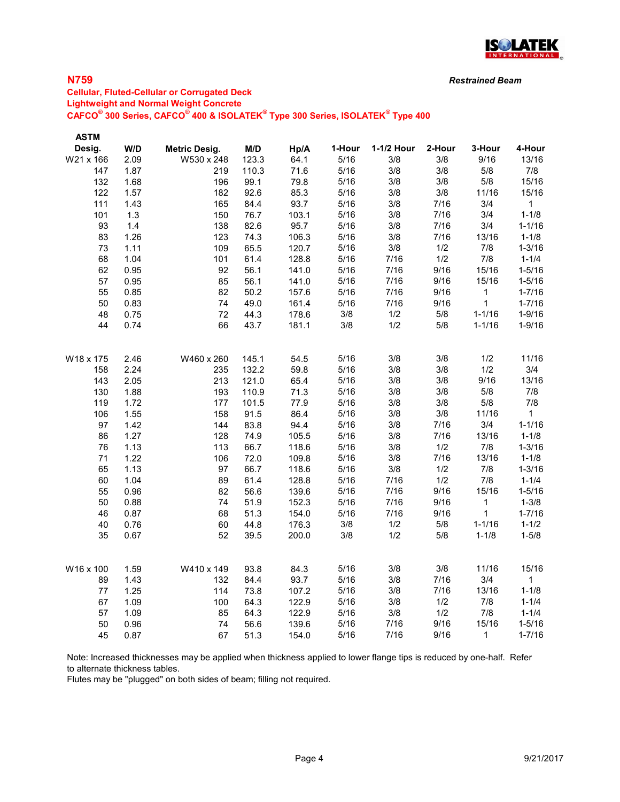

## N759

## Cellular, Fluted-Cellular or Corrugated Deck Lightweight and Normal Weight Concrete  $\mathsf{CAFCO}^\circ$  300 Series,  $\mathsf{CAFCO}^\circ$  400 & ISOLATEK $^\circ$  Type 300 Series, ISOLATEK $^\circ$  Type 400

| <b>ASTM</b> |       |                      |       |       |        |            |        |             |              |
|-------------|-------|----------------------|-------|-------|--------|------------|--------|-------------|--------------|
| Desig.      | W/D   | <b>Metric Desig.</b> | M/D   | Hp/A  | 1-Hour | 1-1/2 Hour | 2-Hour | 3-Hour      | 4-Hour       |
| W21 x 166   | 2.09  | W530 x 248           | 123.3 | 64.1  | 5/16   | 3/8        | 3/8    | 9/16        | 13/16        |
| 147         | 1.87  | 219                  | 110.3 | 71.6  | 5/16   | 3/8        | 3/8    | $5/8$       | 7/8          |
| 132         | 1.68  | 196                  | 99.1  | 79.8  | 5/16   | 3/8        | 3/8    | 5/8         | 15/16        |
| 122         | 1.57  | 182                  | 92.6  | 85.3  | 5/16   | 3/8        | 3/8    | 11/16       | 15/16        |
| 111         | 1.43  | 165                  | 84.4  | 93.7  | 5/16   | 3/8        | 7/16   | 3/4         | $\mathbf{1}$ |
| 101         | 1.3   | 150                  | 76.7  | 103.1 | 5/16   | 3/8        | 7/16   | 3/4         | $1 - 1/8$    |
| 93          | $1.4$ | 138                  | 82.6  | 95.7  | 5/16   | 3/8        | 7/16   | 3/4         | $1 - 1/16$   |
| 83          | 1.26  | 123                  | 74.3  | 106.3 | $5/16$ | 3/8        | 7/16   | 13/16       | $1 - 1/8$    |
| 73          | 1.11  | 109                  | 65.5  | 120.7 | $5/16$ | $3/8$      | 1/2    | $7/8$       | $1 - 3/16$   |
| 68          | 1.04  | 101                  | 61.4  | 128.8 | 5/16   | 7/16       | 1/2    | 7/8         | $1 - 1/4$    |
| 62          | 0.95  | 92                   | 56.1  | 141.0 | 5/16   | $7/16$     | 9/16   | 15/16       | $1 - 5/16$   |
| 57          | 0.95  | 85                   | 56.1  | 141.0 | 5/16   | 7/16       | 9/16   | 15/16       | $1 - 5/16$   |
| 55          | 0.85  | 82                   | 50.2  | 157.6 | 5/16   | 7/16       | 9/16   | 1           | $1 - 7/16$   |
| 50          | 0.83  | 74                   | 49.0  | 161.4 | 5/16   | 7/16       | 9/16   | $\mathbf 1$ | $1 - 7/16$   |
| 48          | 0.75  | 72                   | 44.3  | 178.6 | $3/8$  | 1/2        | $5/8$  | $1 - 1/16$  | $1 - 9/16$   |
| 44          | 0.74  | 66                   | 43.7  | 181.1 | 3/8    | 1/2        | 5/8    | $1 - 1/16$  | $1 - 9/16$   |
| W18 x 175   | 2.46  | W460 x 260           | 145.1 | 54.5  | 5/16   | 3/8        | 3/8    | 1/2         | 11/16        |
| 158         | 2.24  | 235                  | 132.2 | 59.8  | 5/16   | 3/8        | 3/8    | 1/2         | 3/4          |
| 143         | 2.05  | 213                  | 121.0 | 65.4  | 5/16   | 3/8        | 3/8    | 9/16        | 13/16        |
| 130         | 1.88  | 193                  | 110.9 | 71.3  | 5/16   | 3/8        | 3/8    | 5/8         | 7/8          |
| 119         | 1.72  | 177                  | 101.5 | 77.9  | 5/16   | 3/8        | 3/8    | 5/8         | 7/8          |
| 106         | 1.55  | 158                  | 91.5  | 86.4  | 5/16   | 3/8        | 3/8    | 11/16       | $\mathbf{1}$ |
| 97          | 1.42  | 144                  | 83.8  | 94.4  | 5/16   | 3/8        | 7/16   | 3/4         | $1 - 1/16$   |
| 86          | 1.27  | 128                  | 74.9  | 105.5 | 5/16   | 3/8        | 7/16   | 13/16       | $1 - 1/8$    |
| 76          | 1.13  | 113                  | 66.7  | 118.6 | 5/16   | 3/8        | 1/2    | 7/8         | $1 - 3/16$   |
| 71          | 1.22  | 106                  | 72.0  | 109.8 | 5/16   | 3/8        | 7/16   | 13/16       | $1 - 1/8$    |
| 65          | 1.13  | 97                   | 66.7  | 118.6 | 5/16   | 3/8        | 1/2    | 7/8         | $1 - 3/16$   |
| 60          | 1.04  | 89                   | 61.4  | 128.8 | 5/16   | 7/16       | 1/2    | 7/8         | $1 - 1/4$    |
| 55          | 0.96  | 82                   | 56.6  | 139.6 | 5/16   | 7/16       | 9/16   | 15/16       | $1 - 5/16$   |
| 50          | 0.88  | 74                   | 51.9  | 152.3 | 5/16   | $7/16$     | 9/16   | $\mathbf 1$ | $1 - 3/8$    |
| 46          | 0.87  | 68                   | 51.3  | 154.0 | 5/16   | 7/16       | 9/16   | $\mathbf 1$ | $1 - 7/16$   |
| 40          | 0.76  | 60                   | 44.8  | 176.3 | 3/8    | 1/2        | $5/8$  | $1 - 1/16$  | $1 - 1/2$    |
| 35          | 0.67  | 52                   | 39.5  | 200.0 | 3/8    | 1/2        | 5/8    | $1 - 1/8$   | $1 - 5/8$    |
| W16 x 100   | 1.59  | W410 x 149           | 93.8  | 84.3  | 5/16   | 3/8        | 3/8    | 11/16       | 15/16        |
| 89          | 1.43  | 132                  | 84.4  | 93.7  | 5/16   | 3/8        | 7/16   | 3/4         | 1            |
| 77          | 1.25  | 114                  | 73.8  | 107.2 | 5/16   | 3/8        | 7/16   | 13/16       | $1 - 1/8$    |
| 67          | 1.09  | 100                  | 64.3  | 122.9 | 5/16   | $3/8$      | 1/2    | 7/8         | $1 - 1/4$    |
| 57          | 1.09  | 85                   | 64.3  | 122.9 | 5/16   | $3/8$      | 1/2    | 7/8         | $1 - 1/4$    |
| 50          | 0.96  | 74                   | 56.6  | 139.6 | 5/16   | 7/16       | 9/16   | 15/16       | $1 - 5/16$   |
| 45          | 0.87  | 67                   | 51.3  | 154.0 | 5/16   | 7/16       | 9/16   | 1           | $1 - 7/16$   |

Note: Increased thicknesses may be applied when thickness applied to lower flange tips is reduced by one-half. Refer to alternate thickness tables.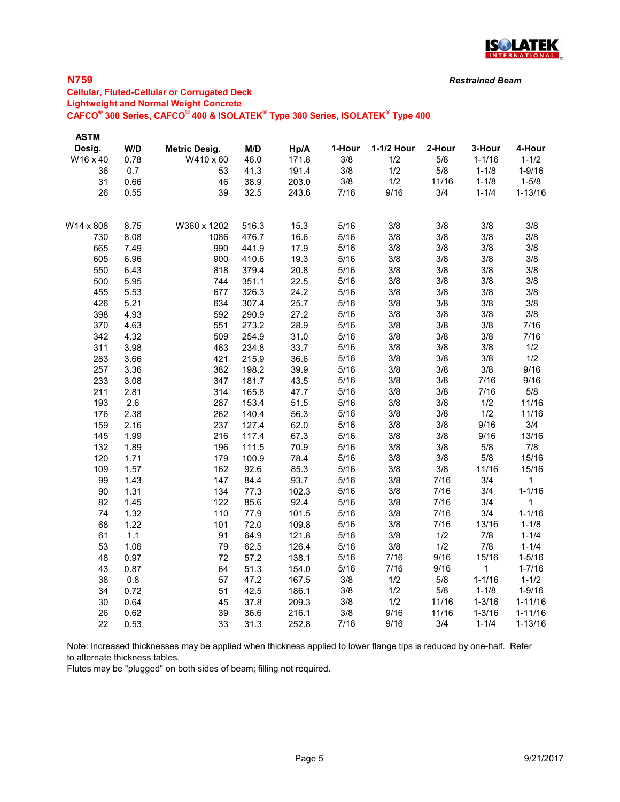

## N759

## Cellular, Fluted-Cellular or Corrugated Deck Lightweight and Normal Weight Concrete  $\mathsf{CAFCO}^\circ$  300 Series,  $\mathsf{CAFCO}^\circ$  400 & ISOLATEK $^\circ$  Type 300 Series, ISOLATEK $^\circ$  Type 400

| <b>ASTM</b> |      |               |       |       |            |             |        |              |                            |
|-------------|------|---------------|-------|-------|------------|-------------|--------|--------------|----------------------------|
| Desig.      | W/D  | Metric Desig. | M/D   | Hp/A  | 1-Hour     | 1-1/2 Hour  | 2-Hour | 3-Hour       | 4-Hour                     |
| W16 x 40    | 0.78 | W410 x 60     | 46.0  | 171.8 | 3/8        | 1/2         | 5/8    | $1 - 1/16$   | $1 - 1/2$                  |
| 36          | 0.7  | 53            | 41.3  | 191.4 | 3/8        | 1/2         | 5/8    | $1 - 1/8$    | $1 - 9/16$                 |
| 31          | 0.66 | 46            | 38.9  | 203.0 | 3/8        | 1/2         | 11/16  | $1 - 1/8$    | $1 - 5/8$                  |
| 26          | 0.55 | 39            | 32.5  | 243.6 | 7/16       | 9/16        | 3/4    | $1 - 1/4$    | $1 - 13/16$                |
| W14 x 808   | 8.75 | W360 x 1202   | 516.3 | 15.3  | 5/16       | 3/8         | 3/8    | 3/8          | 3/8                        |
| 730         | 8.08 | 1086          | 476.7 | 16.6  | 5/16       | 3/8         | 3/8    | 3/8          | 3/8                        |
| 665         | 7.49 | 990           | 441.9 | 17.9  | 5/16       | 3/8         | 3/8    | 3/8          | 3/8                        |
| 605         | 6.96 | 900           | 410.6 | 19.3  | 5/16       | 3/8         | 3/8    | 3/8          | 3/8                        |
| 550         | 6.43 | 818           | 379.4 | 20.8  | 5/16       | 3/8         | 3/8    | 3/8          | 3/8                        |
| 500         | 5.95 | 744           | 351.1 | 22.5  | 5/16       | 3/8         | 3/8    | 3/8          | 3/8                        |
| 455         | 5.53 | 677           | 326.3 | 24.2  | 5/16       | 3/8         | 3/8    | 3/8          | 3/8                        |
| 426         | 5.21 | 634           | 307.4 | 25.7  | 5/16       | 3/8         | 3/8    | 3/8          | 3/8                        |
| 398         | 4.93 | 592           | 290.9 | 27.2  | 5/16       | 3/8         | 3/8    | 3/8          | 3/8                        |
| 370         | 4.63 | 551           | 273.2 | 28.9  | 5/16       | 3/8         | 3/8    | 3/8          | 7/16                       |
| 342         | 4.32 | 509           | 254.9 | 31.0  | 5/16       | 3/8         | 3/8    | 3/8          | 7/16                       |
| 311         | 3.98 | 463           | 234.8 | 33.7  | 5/16       | 3/8         | 3/8    | 3/8          | 1/2                        |
| 283         | 3.66 | 421           | 215.9 | 36.6  | 5/16       | 3/8         | 3/8    | 3/8          | 1/2                        |
| 257         | 3.36 | 382           | 198.2 | 39.9  | 5/16       | 3/8         | 3/8    | 3/8          | 9/16                       |
| 233         | 3.08 | 347           | 181.7 | 43.5  | 5/16       | 3/8         | 3/8    | 7/16         | 9/16                       |
| 211         | 2.81 | 314           | 165.8 | 47.7  | 5/16       | 3/8         | 3/8    | 7/16         | 5/8                        |
| 193         | 2.6  | 287           | 153.4 | 51.5  | 5/16       | 3/8         | 3/8    | 1/2          | 11/16                      |
| 176         | 2.38 | 262           | 140.4 | 56.3  | 5/16       | 3/8         | 3/8    | 1/2          | 11/16                      |
| 159         | 2.16 | 237           | 127.4 | 62.0  | 5/16       | 3/8         | 3/8    | 9/16         | 3/4                        |
| 145         | 1.99 | 216           | 117.4 | 67.3  | 5/16       | 3/8         | 3/8    | 9/16         | 13/16                      |
| 132         | 1.89 | 196           | 111.5 | 70.9  | 5/16       | 3/8         | 3/8    | 5/8          | 7/8                        |
| 120         | 1.71 | 179           | 100.9 | 78.4  | 5/16       | 3/8         | 3/8    | 5/8          | 15/16                      |
| 109         | 1.57 | 162           | 92.6  | 85.3  | 5/16       | 3/8         | 3/8    | 11/16        | 15/16                      |
| 99          | 1.43 | 147           | 84.4  | 93.7  | 5/16       | 3/8         | 7/16   | 3/4          | 1                          |
| 90          | 1.31 | 134           | 77.3  | 102.3 | 5/16       | 3/8         | 7/16   | 3/4          | $1 - 1/16$                 |
| 82          | 1.45 | 122           | 85.6  | 92.4  | 5/16       | 3/8         | 7/16   | 3/4          | 1                          |
| 74          | 1.32 | 110           | 77.9  | 101.5 | 5/16       | 3/8         | 7/16   | 3/4          | $1 - 1/16$                 |
| 68          | 1.22 | 101           | 72.0  | 109.8 | 5/16       | 3/8         | 7/16   | 13/16        | $1 - 1/8$                  |
| 61          | 1.1  | 91            | 64.9  | 121.8 | 5/16       | 3/8         | 1/2    | 7/8          | $1 - 1/4$                  |
| 53          | 1.06 | 79            | 62.5  | 126.4 | 5/16       | 3/8         | 1/2    | 7/8          | $1 - 1/4$                  |
| 48          | 0.97 | 72            | 57.2  | 138.1 | 5/16       | 7/16        | 9/16   | 15/16        | $1 - 5/16$                 |
| 43          | 0.87 | 64            | 51.3  | 154.0 | 5/16       | 7/16        | 9/16   | $\mathbf{1}$ | $1 - 7/16$                 |
| 38          | 0.8  | 57            | 47.2  | 167.5 | 3/8        | 1/2         | 5/8    | $1 - 1/16$   | $1 - 1/2$                  |
| 34          | 0.72 | 51            | 42.5  | 186.1 | 3/8        | 1/2         | $5/8$  | $1 - 1/8$    | $1 - 9/16$                 |
| 30          | 0.64 | 45            | 37.8  | 209.3 | 3/8<br>3/8 | 1/2<br>9/16 | 11/16  | $1 - 3/16$   | $1 - 11/16$<br>$1 - 11/16$ |
| 26          | 0.62 | 39            | 36.6  | 216.1 |            |             | 11/16  | $1 - 3/16$   |                            |
| 22          | 0.53 | 33            | 31.3  | 252.8 | 7/16       | 9/16        | 3/4    | $1 - 1/4$    | $1 - 13/16$                |

Note: Increased thicknesses may be applied when thickness applied to lower flange tips is reduced by one-half. Refer to alternate thickness tables.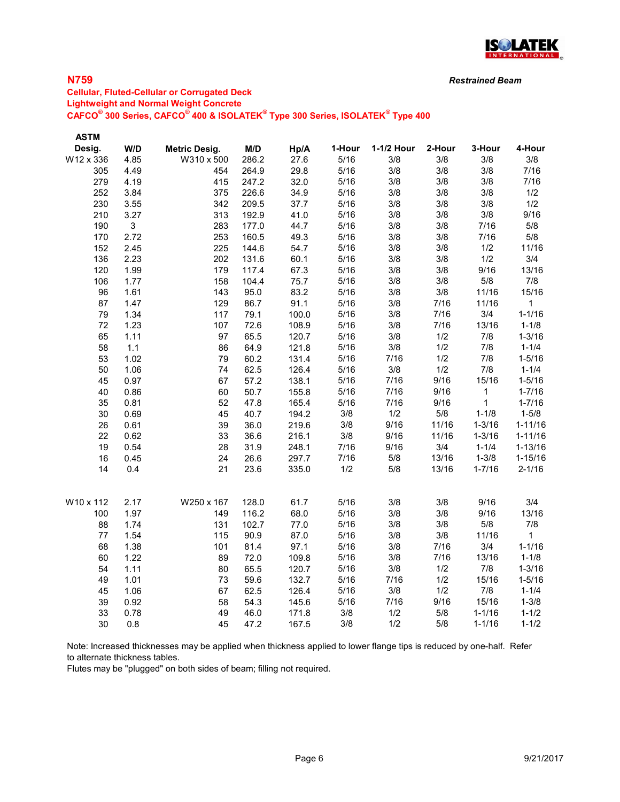

## N759

### Cellular, Fluted-Cellular or Corrugated Deck Lightweight and Normal Weight Concrete  $\mathsf{CAFCO}^\circ$  300 Series,  $\mathsf{CAFCO}^\circ$  400 & ISOLATEK $^\circ$  Type 300 Series, ISOLATEK $^\circ$  Type 400

| <b>ASTM</b> |              |                      |       |       |        |            |        |              |              |
|-------------|--------------|----------------------|-------|-------|--------|------------|--------|--------------|--------------|
| Desig.      | W/D          | <b>Metric Desig.</b> | M/D   | Hp/A  | 1-Hour | 1-1/2 Hour | 2-Hour | 3-Hour       | 4-Hour       |
| W12 x 336   | 4.85         | W310 x 500           | 286.2 | 27.6  | 5/16   | 3/8        | 3/8    | 3/8          | 3/8          |
| 305         | 4.49         | 454                  | 264.9 | 29.8  | 5/16   | 3/8        | 3/8    | 3/8          | 7/16         |
| 279         | 4.19         | 415                  | 247.2 | 32.0  | 5/16   | 3/8        | 3/8    | 3/8          | 7/16         |
| 252         | 3.84         | 375                  | 226.6 | 34.9  | 5/16   | 3/8        | 3/8    | 3/8          | 1/2          |
| 230         | 3.55         | 342                  | 209.5 | 37.7  | 5/16   | 3/8        | 3/8    | 3/8          | 1/2          |
| 210         | 3.27         | 313                  | 192.9 | 41.0  | 5/16   | 3/8        | 3/8    | 3/8          | 9/16         |
| 190         | $\mathbf{3}$ | 283                  | 177.0 | 44.7  | 5/16   | 3/8        | 3/8    | 7/16         | 5/8          |
| 170         | 2.72         | 253                  | 160.5 | 49.3  | 5/16   | 3/8        | 3/8    | 7/16         | 5/8          |
| 152         | 2.45         | 225                  | 144.6 | 54.7  | 5/16   | 3/8        | 3/8    | 1/2          | 11/16        |
| 136         | 2.23         | 202                  | 131.6 | 60.1  | $5/16$ | 3/8        | 3/8    | 1/2          | 3/4          |
| 120         | 1.99         | 179                  | 117.4 | 67.3  | 5/16   | 3/8        | 3/8    | 9/16         | 13/16        |
| 106         | 1.77         | 158                  | 104.4 | 75.7  | 5/16   | 3/8        | 3/8    | 5/8          | 7/8          |
| 96          | 1.61         | 143                  | 95.0  | 83.2  | $5/16$ | 3/8        | 3/8    | 11/16        | 15/16        |
| 87          | 1.47         | 129                  | 86.7  | 91.1  | 5/16   | 3/8        | 7/16   | 11/16        | $\mathbf{1}$ |
| 79          | 1.34         | 117                  | 79.1  | 100.0 | 5/16   | 3/8        | 7/16   | 3/4          | $1 - 1/16$   |
| 72          | 1.23         | 107                  | 72.6  | 108.9 | 5/16   | 3/8        | 7/16   | 13/16        | $1 - 1/8$    |
| 65          | 1.11         | 97                   | 65.5  | 120.7 | 5/16   | 3/8        | 1/2    | 7/8          | $1 - 3/16$   |
| 58          | $1.1$        | 86                   | 64.9  | 121.8 | 5/16   | 3/8        | 1/2    | 7/8          | $1 - 1/4$    |
| 53          | 1.02         | 79                   | 60.2  | 131.4 | 5/16   | 7/16       | 1/2    | 7/8          | $1 - 5/16$   |
| 50          | 1.06         | 74                   | 62.5  | 126.4 | 5/16   | 3/8        | 1/2    | 7/8          | $1 - 1/4$    |
| 45          | 0.97         | 67                   | 57.2  | 138.1 | 5/16   | 7/16       | 9/16   | 15/16        | $1 - 5/16$   |
| 40          | 0.86         | 60                   | 50.7  | 155.8 | 5/16   | 7/16       | 9/16   | $\mathbf 1$  | $1 - 7/16$   |
| 35          | 0.81         | 52                   | 47.8  | 165.4 | 5/16   | 7/16       | 9/16   | $\mathbf{1}$ | $1 - 7/16$   |
| 30          | 0.69         | 45                   | 40.7  | 194.2 | 3/8    | 1/2        | 5/8    | $1 - 1/8$    | $1 - 5/8$    |
| 26          | 0.61         | 39                   | 36.0  | 219.6 | 3/8    | 9/16       | 11/16  | $1 - 3/16$   | $1 - 11/16$  |
| 22          | 0.62         | 33                   | 36.6  | 216.1 | 3/8    | 9/16       | 11/16  | $1 - 3/16$   | $1 - 11/16$  |
| 19          | 0.54         | 28                   | 31.9  | 248.1 | 7/16   | 9/16       | 3/4    | $1 - 1/4$    | $1 - 13/16$  |
| 16          | 0.45         | 24                   | 26.6  | 297.7 | 7/16   | $5/8$      | 13/16  | $1 - 3/8$    | $1 - 15/16$  |
| 14          | 0.4          | 21                   | 23.6  | 335.0 | 1/2    | 5/8        | 13/16  | $1 - 7/16$   | $2 - 1/16$   |
| W10 x 112   | 2.17         | W250 x 167           | 128.0 | 61.7  | 5/16   | 3/8        | 3/8    | 9/16         | 3/4          |
| 100         | 1.97         | 149                  | 116.2 | 68.0  | 5/16   | 3/8        | 3/8    | 9/16         | 13/16        |
| 88          | 1.74         | 131                  | 102.7 | 77.0  | 5/16   | 3/8        | 3/8    | 5/8          | 7/8          |
| 77          | 1.54         | 115                  | 90.9  | 87.0  | 5/16   | 3/8        | 3/8    | 11/16        | $\mathbf{1}$ |
| 68          | 1.38         | 101                  | 81.4  | 97.1  | 5/16   | 3/8        | 7/16   | 3/4          | $1 - 1/16$   |
| 60          | 1.22         | 89                   | 72.0  | 109.8 | 5/16   | 3/8        | 7/16   | 13/16        | $1 - 1/8$    |
| 54          | 1.11         | 80                   | 65.5  | 120.7 | 5/16   | 3/8        | 1/2    | 7/8          | $1 - 3/16$   |
| 49          | 1.01         | 73                   | 59.6  | 132.7 | 5/16   | 7/16       | 1/2    | 15/16        | $1 - 5/16$   |
| 45          | 1.06         | 67                   | 62.5  | 126.4 | 5/16   | 3/8        | 1/2    | 7/8          | $1 - 1/4$    |
| 39          | 0.92         | 58                   | 54.3  | 145.6 | 5/16   | 7/16       | 9/16   | 15/16        | $1 - 3/8$    |
| 33          | 0.78         | 49                   | 46.0  | 171.8 | 3/8    | 1/2        | 5/8    | $1 - 1/16$   | $1 - 1/2$    |
| 30          | 0.8          | 45                   | 47.2  | 167.5 | 3/8    | 1/2        | 5/8    | $1 - 1/16$   | $1 - 1/2$    |

Note: Increased thicknesses may be applied when thickness applied to lower flange tips is reduced by one-half. Refer to alternate thickness tables.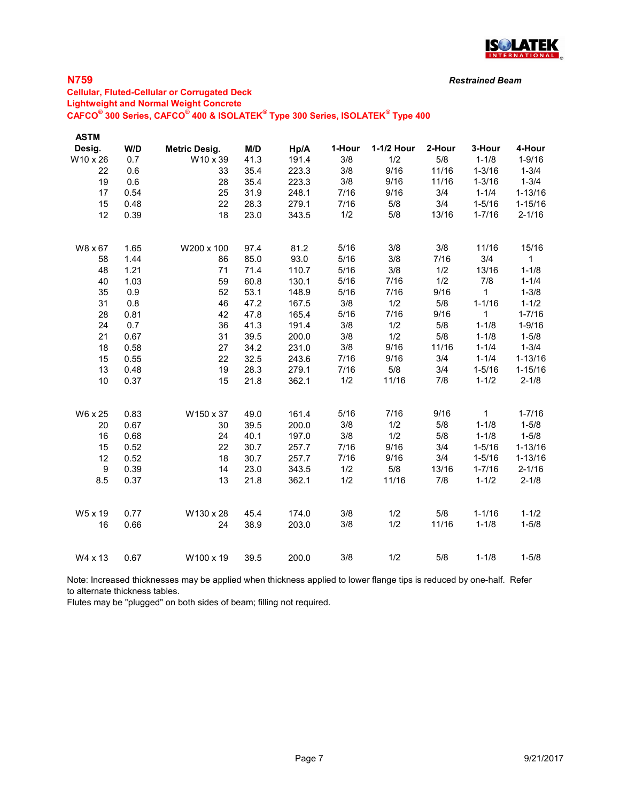

## N759

## Cellular, Fluted-Cellular or Corrugated Deck Lightweight and Normal Weight Concrete  $\mathsf{CAFCO}^\circ$  300 Series,  $\mathsf{CAFCO}^\circ$  400 & ISOLATEK $^\circ$  Type 300 Series, ISOLATEK $^\circ$  Type 400

| <b>ASTM</b> |      |                      |      |       |        |            |        |              |              |
|-------------|------|----------------------|------|-------|--------|------------|--------|--------------|--------------|
| Desig.      | W/D  | <b>Metric Desig.</b> | M/D  | Hp/A  | 1-Hour | 1-1/2 Hour | 2-Hour | 3-Hour       | 4-Hour       |
| W10 x 26    | 0.7  | W10 x 39             | 41.3 | 191.4 | 3/8    | 1/2        | 5/8    | $1 - 1/8$    | $1 - 9/16$   |
| 22          | 0.6  | 33                   | 35.4 | 223.3 | 3/8    | 9/16       | 11/16  | $1 - 3/16$   | $1 - 3/4$    |
| 19          | 0.6  | 28                   | 35.4 | 223.3 | 3/8    | 9/16       | 11/16  | $1 - 3/16$   | $1 - 3/4$    |
| 17          | 0.54 | 25                   | 31.9 | 248.1 | 7/16   | 9/16       | 3/4    | $1 - 1/4$    | $1 - 13/16$  |
| 15          | 0.48 | 22                   | 28.3 | 279.1 | 7/16   | 5/8        | 3/4    | $1 - 5/16$   | $1 - 15/16$  |
| 12          | 0.39 | 18                   | 23.0 | 343.5 | 1/2    | 5/8        | 13/16  | $1 - 7/16$   | $2 - 1/16$   |
| W8 x 67     | 1.65 | W200 x 100           | 97.4 | 81.2  | 5/16   | 3/8        | 3/8    | 11/16        | 15/16        |
| 58          | 1.44 | 86                   | 85.0 | 93.0  | 5/16   | 3/8        | 7/16   | 3/4          | $\mathbf{1}$ |
| 48          | 1.21 | 71                   | 71.4 | 110.7 | 5/16   | 3/8        | 1/2    | 13/16        | $1 - 1/8$    |
| 40          | 1.03 | 59                   | 60.8 | 130.1 | 5/16   | 7/16       | 1/2    | 7/8          | $1 - 1/4$    |
| 35          | 0.9  | 52                   | 53.1 | 148.9 | 5/16   | 7/16       | 9/16   | 1            | $1 - 3/8$    |
| 31          | 0.8  | 46                   | 47.2 | 167.5 | 3/8    | 1/2        | 5/8    | $1 - 1/16$   | $1 - 1/2$    |
| 28          | 0.81 | 42                   | 47.8 | 165.4 | 5/16   | 7/16       | 9/16   | 1            | $1 - 7/16$   |
| 24          | 0.7  | 36                   | 41.3 | 191.4 | 3/8    | 1/2        | 5/8    | $1 - 1/8$    | $1 - 9/16$   |
| 21          | 0.67 | 31                   | 39.5 | 200.0 | 3/8    | 1/2        | 5/8    | $1 - 1/8$    | $1 - 5/8$    |
| 18          | 0.58 | 27                   | 34.2 | 231.0 | 3/8    | 9/16       | 11/16  | $1 - 1/4$    | $1 - 3/4$    |
| 15          | 0.55 | 22                   | 32.5 | 243.6 | 7/16   | 9/16       | 3/4    | $1 - 1/4$    | $1 - 13/16$  |
| 13          | 0.48 | 19                   | 28.3 | 279.1 | 7/16   | $5/8$      | 3/4    | $1 - 5/16$   | $1 - 15/16$  |
| 10          | 0.37 | 15                   | 21.8 | 362.1 | 1/2    | 11/16      | 7/8    | $1 - 1/2$    | $2 - 1/8$    |
| W6 x 25     | 0.83 | W150 x 37            | 49.0 | 161.4 | 5/16   | 7/16       | 9/16   | $\mathbf{1}$ | $1 - 7/16$   |
| 20          | 0.67 | 30                   | 39.5 | 200.0 | 3/8    | 1/2        | 5/8    | $1 - 1/8$    | $1 - 5/8$    |
| 16          | 0.68 | 24                   | 40.1 | 197.0 | 3/8    | 1/2        | $5/8$  | $1 - 1/8$    | $1 - 5/8$    |
| 15          | 0.52 | 22                   | 30.7 | 257.7 | 7/16   | 9/16       | 3/4    | $1 - 5/16$   | $1 - 13/16$  |
| 12          | 0.52 | 18                   | 30.7 | 257.7 | 7/16   | 9/16       | 3/4    | $1 - 5/16$   | $1 - 13/16$  |
| 9           | 0.39 | 14                   | 23.0 | 343.5 | 1/2    | 5/8        | 13/16  | $1 - 7/16$   | $2 - 1/16$   |
| 8.5         | 0.37 | 13                   | 21.8 | 362.1 | 1/2    | 11/16      | 7/8    | $1 - 1/2$    | $2 - 1/8$    |
| W5 x 19     | 0.77 | W130 x 28            | 45.4 | 174.0 | 3/8    | 1/2        | $5/8$  | $1 - 1/16$   | $1 - 1/2$    |
| 16          | 0.66 | 24                   | 38.9 | 203.0 | 3/8    | 1/2        | 11/16  | $1 - 1/8$    | $1 - 5/8$    |
| W4 x 13     | 0.67 | W100 x 19            | 39.5 | 200.0 | 3/8    | 1/2        | 5/8    | $1 - 1/8$    | $1 - 5/8$    |

Note: Increased thicknesses may be applied when thickness applied to lower flange tips is reduced by one-half. Refer to alternate thickness tables.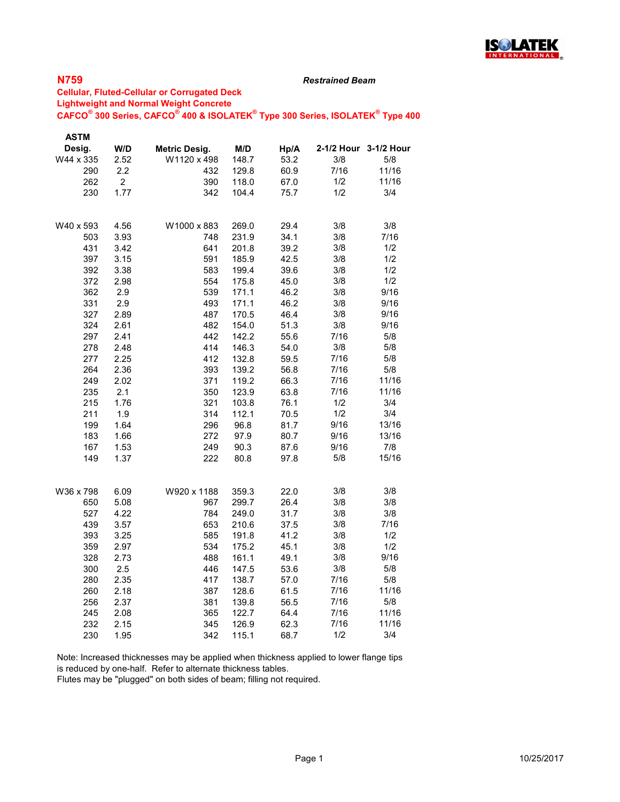

#### Restrained Beam

### Cellular, Fluted-Cellular or Corrugated Deck Lightweight and Normal Weight Concrete  $\mathsf{CAFCO}^\circ$  300 Series,  $\mathsf{CAFCO}^\circ$  400 & ISOLATEK $^\circ$  Type 300 Series, ISOLATEK $^\circ$  Type 400

| <b>ASTM</b> |                |                      |       |      |      |                       |
|-------------|----------------|----------------------|-------|------|------|-----------------------|
| Desig.      | W/D            | <b>Metric Desig.</b> | M/D   | Hp/A |      | 2-1/2 Hour 3-1/2 Hour |
| W44 x 335   | 2.52           | W1120 x 498          | 148.7 | 53.2 | 3/8  | 5/8                   |
| 290         | 2.2            | 432                  | 129.8 | 60.9 | 7/16 | 11/16                 |
| 262         | $\overline{c}$ | 390                  | 118.0 | 67.0 | 1/2  | 11/16                 |
| 230         | 1.77           | 342                  | 104.4 | 75.7 | 1/2  | 3/4                   |
|             |                |                      |       |      |      |                       |
| W40 x 593   | 4.56           | W1000 x 883          | 269.0 | 29.4 | 3/8  | 3/8                   |
| 503         | 3.93           | 748                  | 231.9 | 34.1 | 3/8  | 7/16                  |
| 431         | 3.42           | 641                  | 201.8 | 39.2 | 3/8  | 1/2                   |
| 397         | 3.15           | 591                  | 185.9 | 42.5 | 3/8  | 1/2                   |
| 392         | 3.38           | 583                  | 199.4 | 39.6 | 3/8  | 1/2                   |
| 372         | 2.98           | 554                  | 175.8 | 45.0 | 3/8  | 1/2                   |
| 362         | 2.9            | 539                  | 171.1 | 46.2 | 3/8  | 9/16                  |
| 331         | 2.9            | 493                  | 171.1 | 46.2 | 3/8  | 9/16                  |
| 327         | 2.89           | 487                  | 170.5 | 46.4 | 3/8  | 9/16                  |
| 324         | 2.61           | 482                  | 154.0 | 51.3 | 3/8  | 9/16                  |
| 297         | 2.41           | 442                  | 142.2 | 55.6 | 7/16 | 5/8                   |
| 278         | 2.48           | 414                  | 146.3 | 54.0 | 3/8  | 5/8                   |
| 277         | 2.25           | 412                  | 132.8 | 59.5 | 7/16 | 5/8                   |
| 264         | 2.36           | 393                  | 139.2 | 56.8 | 7/16 | 5/8                   |
| 249         | 2.02           | 371                  | 119.2 | 66.3 | 7/16 | 11/16                 |
| 235         | 2.1            | 350                  | 123.9 | 63.8 | 7/16 | 11/16                 |
| 215         | 1.76           | 321                  | 103.8 | 76.1 | 1/2  | 3/4                   |
| 211         | 1.9            | 314                  | 112.1 | 70.5 | 1/2  | 3/4                   |
| 199         | 1.64           | 296                  | 96.8  | 81.7 | 9/16 | 13/16                 |
| 183         | 1.66           | 272                  | 97.9  | 80.7 | 9/16 | 13/16                 |
| 167         | 1.53           | 249                  | 90.3  | 87.6 | 9/16 | 7/8                   |
| 149         | 1.37           | 222                  | 80.8  | 97.8 | 5/8  | 15/16                 |
|             |                |                      |       |      |      |                       |
| W36 x 798   | 6.09           | W920 x 1188          | 359.3 | 22.0 | 3/8  | 3/8                   |
| 650         | 5.08           | 967                  | 299.7 | 26.4 | 3/8  | 3/8                   |
| 527         | 4.22           | 784                  | 249.0 | 31.7 | 3/8  | 3/8                   |
| 439         | 3.57           | 653                  | 210.6 | 37.5 | 3/8  | 7/16                  |
| 393         | 3.25           | 585                  | 191.8 | 41.2 | 3/8  | 1/2                   |
| 359         | 2.97           | 534                  | 175.2 | 45.1 | 3/8  | 1/2                   |
| 328         | 2.73           | 488                  | 161.1 | 49.1 | 3/8  | 9/16                  |
| 300         | 2.5            | 446                  | 147.5 | 53.6 | 3/8  | 5/8                   |
| 280         | 2.35           | 417                  | 138.7 | 57.0 | 7/16 | 5/8                   |
| 260         | 2.18           | 387                  | 128.6 | 61.5 | 7/16 | 11/16                 |
| 256         | 2.37           | 381                  | 139.8 | 56.5 | 7/16 | 5/8                   |
| 245         | 2.08           | 365                  | 122.7 | 64.4 | 7/16 | 11/16                 |
| 232         | 2.15           | 345                  | 126.9 | 62.3 | 7/16 | 11/16                 |
| 230         | 1.95           | 342                  | 115.1 | 68.7 | 1/2  | 3/4                   |

Note: Increased thicknesses may be applied when thickness applied to lower flange tips is reduced by one-half. Refer to alternate thickness tables.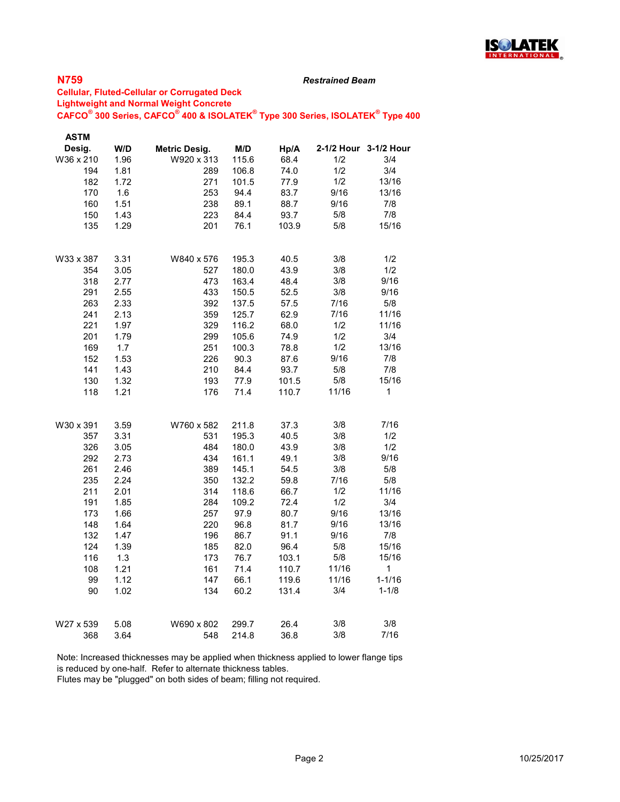

#### Restrained Beam

### Cellular, Fluted-Cellular or Corrugated Deck Lightweight and Normal Weight Concrete  $\mathsf{CAFCO}^\circ$  300 Series,  $\mathsf{CAFCO}^\circ$  400 & ISOLATEK $^\circ$  Type 300 Series, ISOLATEK $^\circ$  Type 400

| <b>ASTM</b> |      |                      |       |       |       |                       |
|-------------|------|----------------------|-------|-------|-------|-----------------------|
| Desig.      | W/D  | <b>Metric Desig.</b> | M/D   | Hp/A  |       | 2-1/2 Hour 3-1/2 Hour |
| W36 x 210   | 1.96 | W920 x 313           | 115.6 | 68.4  | 1/2   | 3/4                   |
| 194         | 1.81 | 289                  | 106.8 | 74.0  | 1/2   | 3/4                   |
| 182         | 1.72 | 271                  | 101.5 | 77.9  | 1/2   | 13/16                 |
| 170         | 1.6  | 253                  | 94.4  | 83.7  | 9/16  | 13/16                 |
| 160         | 1.51 | 238                  | 89.1  | 88.7  | 9/16  | 7/8                   |
| 150         | 1.43 | 223                  | 84.4  | 93.7  | 5/8   | 7/8                   |
| 135         | 1.29 | 201                  | 76.1  | 103.9 | 5/8   | 15/16                 |
| W33 x 387   | 3.31 | W840 x 576           | 195.3 | 40.5  | 3/8   | 1/2                   |
| 354         | 3.05 | 527                  | 180.0 | 43.9  | 3/8   | 1/2                   |
| 318         | 2.77 | 473                  | 163.4 | 48.4  | 3/8   | 9/16                  |
| 291         | 2.55 | 433                  | 150.5 | 52.5  | 3/8   | 9/16                  |
| 263         | 2.33 | 392                  | 137.5 | 57.5  | 7/16  | 5/8                   |
| 241         | 2.13 | 359                  | 125.7 | 62.9  | 7/16  | 11/16                 |
| 221         | 1.97 | 329                  | 116.2 | 68.0  | 1/2   | 11/16                 |
| 201         | 1.79 | 299                  | 105.6 | 74.9  | 1/2   | 3/4                   |
| 169         | 1.7  | 251                  | 100.3 | 78.8  | 1/2   | 13/16                 |
| 152         | 1.53 | 226                  | 90.3  | 87.6  | 9/16  | 7/8                   |
| 141         | 1.43 | 210                  | 84.4  | 93.7  | 5/8   | 7/8                   |
| 130         | 1.32 | 193                  | 77.9  | 101.5 | 5/8   | 15/16                 |
| 118         | 1.21 | 176                  | 71.4  | 110.7 | 11/16 | 1                     |
| W30 x 391   | 3.59 | W760 x 582           | 211.8 | 37.3  | 3/8   | 7/16                  |
| 357         | 3.31 | 531                  | 195.3 | 40.5  | 3/8   | 1/2                   |
| 326         | 3.05 | 484                  | 180.0 | 43.9  | 3/8   | 1/2                   |
| 292         | 2.73 | 434                  | 161.1 | 49.1  | 3/8   | 9/16                  |
| 261         | 2.46 | 389                  | 145.1 | 54.5  | 3/8   | 5/8                   |
| 235         | 2.24 | 350                  | 132.2 | 59.8  | 7/16  | 5/8                   |
| 211         | 2.01 | 314                  | 118.6 | 66.7  | 1/2   | 11/16                 |
| 191         | 1.85 | 284                  | 109.2 | 72.4  | 1/2   | 3/4                   |
| 173         | 1.66 | 257                  | 97.9  | 80.7  | 9/16  | 13/16                 |
| 148         | 1.64 | 220                  | 96.8  | 81.7  | 9/16  | 13/16                 |
| 132         | 1.47 | 196                  | 86.7  | 91.1  | 9/16  | 7/8                   |
| 124         | 1.39 | 185                  | 82.0  | 96.4  | 5/8   | 15/16                 |
| 116         | 1.3  | 173                  | 76.7  | 103.1 | 5/8   | 15/16                 |
| 108         | 1.21 | 161                  | 71.4  | 110.7 | 11/16 | 1                     |
| 99          | 1.12 | 147                  | 66.1  | 119.6 | 11/16 | $1 - 1/16$            |
| 90          | 1.02 | 134                  | 60.2  | 131.4 | 3/4   | $1 - 1/8$             |
| W27 x 539   | 5.08 | W690 x 802           | 299.7 | 26.4  | 3/8   | 3/8                   |
| 368         | 3.64 | 548                  | 214.8 | 36.8  | 3/8   | 7/16                  |

Note: Increased thicknesses may be applied when thickness applied to lower flange tips is reduced by one-half. Refer to alternate thickness tables.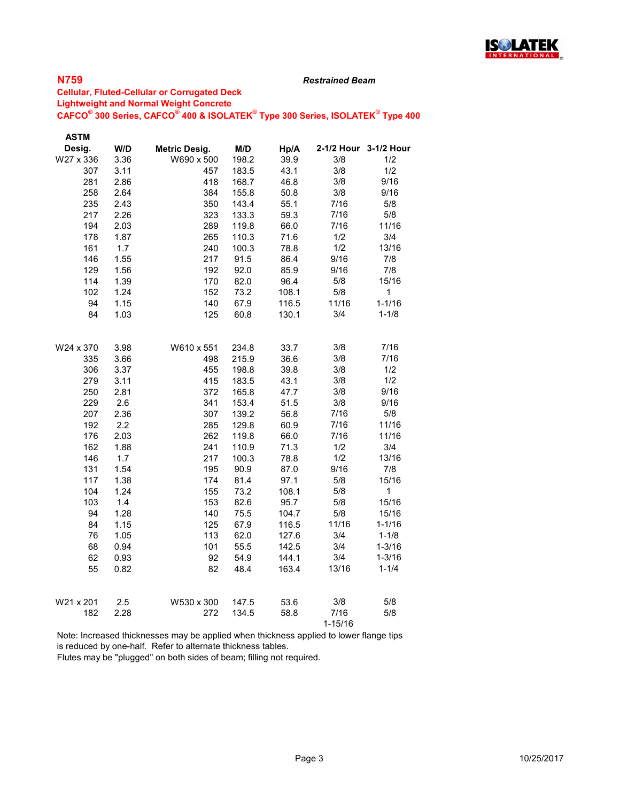

#### Restrained Beam

### Cellular, Fluted-Cellular or Corrugated Deck Lightweight and Normal Weight Concrete  $\mathsf{CAFCO}^\circ$  300 Series,  $\mathsf{CAFCO}^\circ$  400 & ISOLATEK $^\circ$  Type 300 Series, ISOLATEK $^\circ$  Type 400

| <b>ASTM</b> |      |                      |       |       |             |                       |
|-------------|------|----------------------|-------|-------|-------------|-----------------------|
| Desig.      | W/D  | <b>Metric Desig.</b> | M/D   | Hp/A  |             | 2-1/2 Hour 3-1/2 Hour |
| W27 x 336   | 3.36 | W690 x 500           | 198.2 | 39.9  | 3/8         | 1/2                   |
| 307         | 3.11 | 457                  | 183.5 | 43.1  | 3/8         | 1/2                   |
| 281         | 2.86 | 418                  | 168.7 | 46.8  | 3/8         | 9/16                  |
| 258         | 2.64 | 384                  | 155.8 | 50.8  | 3/8         | 9/16                  |
| 235         | 2.43 | 350                  | 143.4 | 55.1  | 7/16        | 5/8                   |
| 217         | 2.26 | 323                  | 133.3 | 59.3  | 7/16        | 5/8                   |
| 194         | 2.03 | 289                  | 119.8 | 66.0  | 7/16        | 11/16                 |
| 178         | 1.87 | 265                  | 110.3 | 71.6  | 1/2         | 3/4                   |
| 161         | 1.7  | 240                  | 100.3 | 78.8  | 1/2         | 13/16                 |
| 146         | 1.55 | 217                  | 91.5  | 86.4  | 9/16        | 7/8                   |
| 129         | 1.56 | 192                  | 92.0  | 85.9  | 9/16        | 7/8                   |
| 114         | 1.39 | 170                  | 82.0  | 96.4  | 5/8         | 15/16                 |
| 102         | 1.24 | 152                  | 73.2  | 108.1 | 5/8         | $\mathbf 1$           |
| 94          | 1.15 | 140                  | 67.9  | 116.5 | 11/16       | $1 - 1/16$            |
| 84          | 1.03 | 125                  | 60.8  | 130.1 | 3/4         | $1 - 1/8$             |
| W24 x 370   | 3.98 | W610 x 551           | 234.8 | 33.7  | 3/8         | 7/16                  |
| 335         | 3.66 | 498                  | 215.9 | 36.6  | 3/8         | 7/16                  |
| 306         | 3.37 | 455                  | 198.8 | 39.8  | 3/8         | 1/2                   |
| 279         | 3.11 | 415                  | 183.5 | 43.1  | 3/8         | 1/2                   |
| 250         | 2.81 | 372                  | 165.8 | 47.7  | 3/8         | 9/16                  |
| 229         | 2.6  | 341                  | 153.4 | 51.5  | 3/8         | 9/16                  |
| 207         | 2.36 | 307                  | 139.2 | 56.8  | 7/16        | 5/8                   |
| 192         | 2.2  | 285                  | 129.8 | 60.9  | 7/16        | 11/16                 |
| 176         | 2.03 | 262                  | 119.8 | 66.0  | 7/16        | 11/16                 |
| 162         | 1.88 | 241                  | 110.9 | 71.3  | 1/2         | 3/4                   |
| 146         | 1.7  | 217                  | 100.3 | 78.8  | 1/2         | 13/16                 |
| 131         | 1.54 | 195                  | 90.9  | 87.0  | 9/16        | 7/8                   |
| 117         | 1.38 | 174                  | 81.4  | 97.1  | 5/8         | 15/16                 |
| 104         | 1.24 | 155                  | 73.2  | 108.1 | 5/8         | 1                     |
| 103         | 1.4  | 153                  | 82.6  | 95.7  | 5/8         | 15/16                 |
| 94          | 1.28 | 140                  | 75.5  | 104.7 | 5/8         | 15/16                 |
| 84          | 1.15 | 125                  | 67.9  | 116.5 | 11/16       | $1 - 1/16$            |
| 76          | 1.05 | 113                  | 62.0  | 127.6 | 3/4         | $1 - 1/8$             |
| 68          | 0.94 | 101                  | 55.5  | 142.5 | 3/4         | $1 - 3/16$            |
| 62          | 0.93 | 92                   | 54.9  | 144.1 | 3/4         | $1 - 3/16$            |
| 55          | 0.82 | 82                   | 48.4  | 163.4 | 13/16       | $1 - 1/4$             |
| W21 x 201   | 2.5  | W530 x 300           | 147.5 | 53.6  | 3/8         | 5/8                   |
| 182         | 2.28 | 272                  | 134.5 | 58.8  | 7/16        | 5/8                   |
|             |      |                      |       |       | $1 - 15/16$ |                       |

Note: Increased thicknesses may be applied when thickness applied to lower flange tips is reduced by one-half. Refer to alternate thickness tables.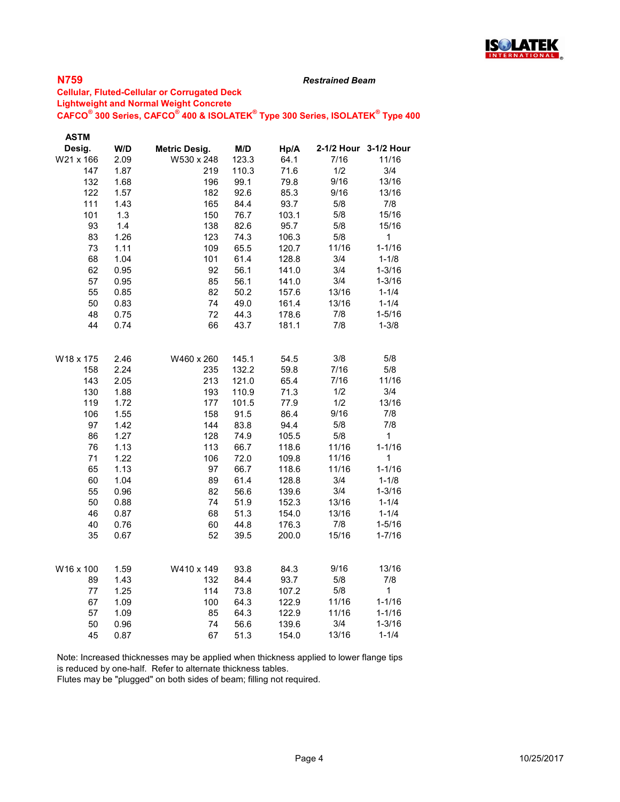

#### Restrained Beam

### Cellular, Fluted-Cellular or Corrugated Deck Lightweight and Normal Weight Concrete  $\mathsf{CAFCO}^\circ$  300 Series,  $\mathsf{CAFCO}^\circ$  400 & ISOLATEK $^\circ$  Type 300 Series, ISOLATEK $^\circ$  Type 400

| <b>ASTM</b> |      |                      |       |       |       |                       |
|-------------|------|----------------------|-------|-------|-------|-----------------------|
| Desig.      | W/D  | <b>Metric Desig.</b> | M/D   | Hp/A  |       | 2-1/2 Hour 3-1/2 Hour |
| W21 x 166   | 2.09 | W530 x 248           | 123.3 | 64.1  | 7/16  | 11/16                 |
| 147         | 1.87 | 219                  | 110.3 | 71.6  | 1/2   | 3/4                   |
| 132         | 1.68 | 196                  | 99.1  | 79.8  | 9/16  | 13/16                 |
| 122         | 1.57 | 182                  | 92.6  | 85.3  | 9/16  | 13/16                 |
| 111         | 1.43 | 165                  | 84.4  | 93.7  | 5/8   | 7/8                   |
| 101         | 1.3  | 150                  | 76.7  | 103.1 | 5/8   | 15/16                 |
| 93          | 1.4  | 138                  | 82.6  | 95.7  | 5/8   | 15/16                 |
| 83          | 1.26 | 123                  | 74.3  | 106.3 | 5/8   | $\mathbf{1}$          |
| 73          | 1.11 | 109                  | 65.5  | 120.7 | 11/16 | $1 - 1/16$            |
| 68          | 1.04 | 101                  | 61.4  | 128.8 | 3/4   | $1 - 1/8$             |
| 62          | 0.95 | 92                   | 56.1  | 141.0 | 3/4   | $1 - 3/16$            |
| 57          | 0.95 | 85                   | 56.1  | 141.0 | 3/4   | $1 - 3/16$            |
| 55          | 0.85 | 82                   | 50.2  | 157.6 | 13/16 | $1 - 1/4$             |
| 50          | 0.83 | 74                   | 49.0  | 161.4 | 13/16 | $1 - 1/4$             |
| 48          | 0.75 | 72                   | 44.3  | 178.6 | 7/8   | $1 - 5/16$            |
| 44          | 0.74 | 66                   | 43.7  | 181.1 | 7/8   | $1 - 3/8$             |
|             |      |                      |       |       |       |                       |
| W18 x 175   | 2.46 | W460 x 260           | 145.1 | 54.5  | 3/8   | 5/8                   |
| 158         | 2.24 | 235                  | 132.2 | 59.8  | 7/16  | 5/8                   |
| 143         | 2.05 | 213                  | 121.0 | 65.4  | 7/16  | 11/16                 |
| 130         | 1.88 | 193                  | 110.9 | 71.3  | 1/2   | 3/4                   |
| 119         | 1.72 | 177                  | 101.5 | 77.9  | 1/2   | 13/16                 |
| 106         | 1.55 | 158                  | 91.5  | 86.4  | 9/16  | 7/8                   |
| 97          | 1.42 | 144                  | 83.8  | 94.4  | 5/8   | 7/8                   |
| 86          | 1.27 | 128                  | 74.9  | 105.5 | 5/8   | $\mathbf 1$           |
| 76          | 1.13 | 113                  | 66.7  | 118.6 | 11/16 | $1 - 1/16$            |
| 71          | 1.22 | 106                  | 72.0  | 109.8 | 11/16 | 1                     |
| 65          | 1.13 | 97                   | 66.7  | 118.6 | 11/16 | $1 - 1/16$            |
| 60          | 1.04 | 89                   | 61.4  | 128.8 | 3/4   | $1 - 1/8$             |
| 55          | 0.96 | 82                   | 56.6  | 139.6 | 3/4   | $1 - 3/16$            |
| 50          | 0.88 | 74                   | 51.9  | 152.3 | 13/16 | $1 - 1/4$             |
| 46          | 0.87 | 68                   | 51.3  | 154.0 | 13/16 | $1 - 1/4$             |
| 40          | 0.76 | 60                   | 44.8  | 176.3 | 7/8   | $1 - 5/16$            |
| 35          | 0.67 | 52                   | 39.5  | 200.0 | 15/16 | $1 - 7/16$            |
|             |      |                      |       |       |       |                       |
| W16 x 100   | 1.59 | W410 x 149           | 93.8  | 84.3  | 9/16  | 13/16                 |
| 89          | 1.43 | 132                  | 84.4  | 93.7  | 5/8   | 7/8                   |
| 77          | 1.25 | 114                  | 73.8  | 107.2 | 5/8   | $\mathbf 1$           |
| 67          | 1.09 | 100                  | 64.3  | 122.9 | 11/16 | $1 - 1/16$            |
| 57          | 1.09 | 85                   | 64.3  | 122.9 | 11/16 | $1 - 1/16$            |
| 50          | 0.96 | 74                   | 56.6  | 139.6 | 3/4   | $1 - 3/16$            |
| 45          | 0.87 | 67                   | 51.3  | 154.0 | 13/16 | $1 - 1/4$             |

Note: Increased thicknesses may be applied when thickness applied to lower flange tips is reduced by one-half. Refer to alternate thickness tables.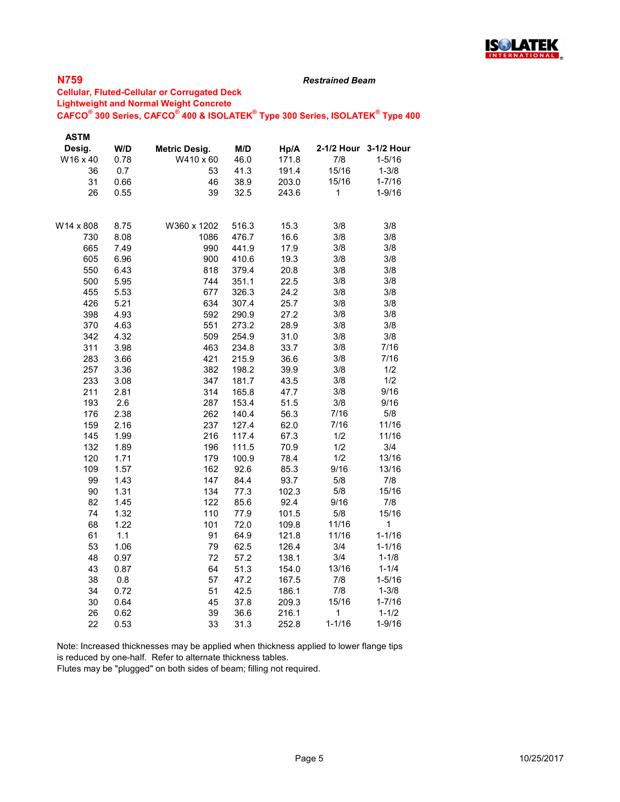

#### Restrained Beam

### Cellular, Fluted-Cellular or Corrugated Deck Lightweight and Normal Weight Concrete  $\mathsf{CAFCO}^\circ$  300 Series,  $\mathsf{CAFCO}^\circ$  400 & ISOLATEK $^\circ$  Type 300 Series, ISOLATEK $^\circ$  Type 400

| <b>ASTM</b> |      |               |       |       |            |                       |
|-------------|------|---------------|-------|-------|------------|-----------------------|
| Desig.      | W/D  | Metric Desig. | M/D   | Hp/A  |            | 2-1/2 Hour 3-1/2 Hour |
| W16 x 40    | 0.78 | W410 x 60     | 46.0  | 171.8 | 7/8        | $1 - 5/16$            |
| 36          | 0.7  | 53            | 41.3  | 191.4 | 15/16      | $1 - 3/8$             |
| 31          | 0.66 | 46            | 38.9  | 203.0 | 15/16      | $1 - 7/16$            |
| 26          | 0.55 | 39            | 32.5  | 243.6 | 1          | $1 - 9/16$            |
| W14 x 808   | 8.75 | W360 x 1202   | 516.3 | 15.3  | 3/8        | 3/8                   |
| 730         | 8.08 | 1086          | 476.7 | 16.6  | 3/8        | 3/8                   |
| 665         | 7.49 | 990           | 441.9 | 17.9  | 3/8        | 3/8                   |
| 605         | 6.96 | 900           | 410.6 | 19.3  | 3/8        | 3/8                   |
| 550         | 6.43 | 818           | 379.4 | 20.8  | 3/8        | 3/8                   |
| 500         | 5.95 | 744           | 351.1 | 22.5  | 3/8        | 3/8                   |
| 455         | 5.53 | 677           | 326.3 | 24.2  | 3/8        | 3/8                   |
| 426         | 5.21 | 634           | 307.4 | 25.7  | 3/8        | 3/8                   |
| 398         | 4.93 | 592           | 290.9 | 27.2  | 3/8        | 3/8                   |
| 370         | 4.63 | 551           | 273.2 | 28.9  | 3/8        | 3/8                   |
| 342         | 4.32 | 509           | 254.9 | 31.0  | 3/8        | 3/8                   |
| 311         | 3.98 | 463           | 234.8 | 33.7  | 3/8        | 7/16                  |
| 283         | 3.66 | 421           | 215.9 | 36.6  | 3/8        | 7/16                  |
| 257         | 3.36 | 382           | 198.2 | 39.9  | 3/8        | 1/2                   |
| 233         | 3.08 | 347           | 181.7 | 43.5  | 3/8        | 1/2                   |
| 211         | 2.81 | 314           | 165.8 | 47.7  | 3/8        | 9/16                  |
| 193         | 2.6  | 287           | 153.4 | 51.5  | 3/8        | 9/16                  |
| 176         | 2.38 | 262           | 140.4 | 56.3  | 7/16       | 5/8                   |
| 159         | 2.16 | 237           | 127.4 | 62.0  | 7/16       | 11/16                 |
| 145         | 1.99 | 216           | 117.4 | 67.3  | 1/2        | 11/16                 |
| 132         | 1.89 | 196           | 111.5 | 70.9  | 1/2        | 3/4                   |
| 120         | 1.71 | 179           | 100.9 | 78.4  | 1/2        | 13/16                 |
| 109         | 1.57 | 162           | 92.6  | 85.3  | 9/16       | 13/16                 |
| 99          | 1.43 | 147           | 84.4  | 93.7  | 5/8        | 7/8                   |
| 90          | 1.31 | 134           | 77.3  | 102.3 | 5/8        | 15/16                 |
| 82          | 1.45 | 122           | 85.6  | 92.4  | 9/16       | 7/8                   |
| 74          | 1.32 | 110           | 77.9  | 101.5 | 5/8        | 15/16                 |
| 68          | 1.22 | 101           | 72.0  | 109.8 | 11/16      | 1                     |
| 61          | 1.1  | 91            | 64.9  | 121.8 | 11/16      | $1 - 1/16$            |
| 53          | 1.06 | 79            | 62.5  | 126.4 | 3/4        | $1 - 1/16$            |
| 48          | 0.97 | 72            | 57.2  | 138.1 | 3/4        | $1 - 1/8$             |
| 43          | 0.87 | 64            | 51.3  | 154.0 | 13/16      | $1 - 1/4$             |
| 38          | 0.8  | 57            | 47.2  | 167.5 | 7/8        | $1 - 5/16$            |
| 34          | 0.72 | 51            | 42.5  | 186.1 | 7/8        | $1 - 3/8$             |
| 30          | 0.64 | 45            | 37.8  | 209.3 | 15/16      | $1 - 7/16$            |
| 26          | 0.62 | 39            | 36.6  | 216.1 | 1          | $1 - 1/2$             |
| 22          | 0.53 | 33            | 31.3  | 252.8 | $1 - 1/16$ | $1 - 9/16$            |

Note: Increased thicknesses may be applied when thickness applied to lower flange tips is reduced by one-half. Refer to alternate thickness tables.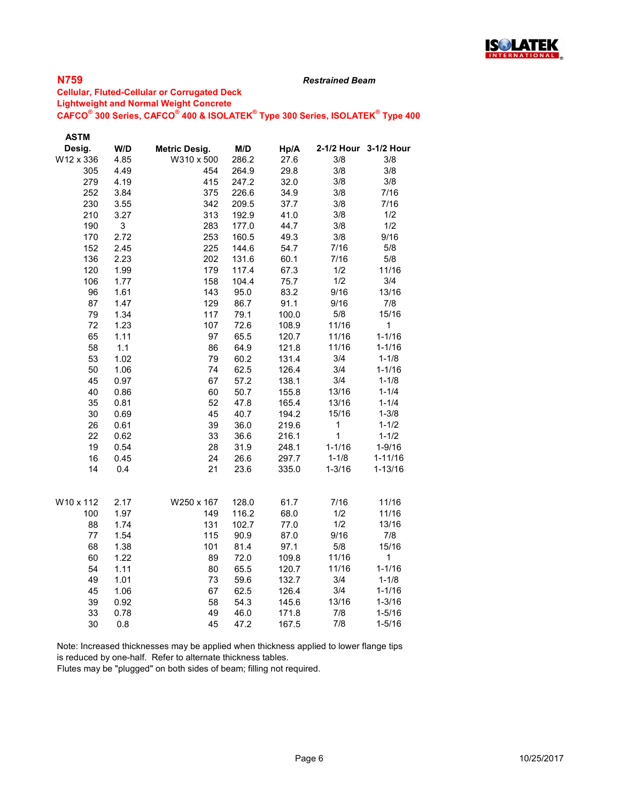

#### Restrained Beam

### Cellular, Fluted-Cellular or Corrugated Deck Lightweight and Normal Weight Concrete  $\mathsf{CAFCO}^\circ$  300 Series,  $\mathsf{CAFCO}^\circ$  400 & ISOLATEK $^\circ$  Type 300 Series, ISOLATEK $^\circ$  Type 400

| <b>ASTM</b> |      |                      |                |              |            |                       |
|-------------|------|----------------------|----------------|--------------|------------|-----------------------|
| Desig.      | W/D  | <b>Metric Desig.</b> | M/D            | Hp/A         |            | 2-1/2 Hour 3-1/2 Hour |
| W12 x 336   | 4.85 | W310 x 500           | 286.2          | 27.6         | 3/8        | 3/8                   |
| 305         | 4.49 | 454                  | 264.9          | 29.8         | 3/8        | 3/8                   |
| 279         | 4.19 | 415                  | 247.2          | 32.0         | 3/8        | 3/8                   |
| 252         | 3.84 | 375                  | 226.6          | 34.9         | 3/8        | 7/16                  |
| 230         | 3.55 | 342                  | 209.5          | 37.7         | 3/8        | 7/16                  |
| 210         | 3.27 | 313                  | 192.9          | 41.0         | 3/8        | 1/2                   |
| 190         | 3    | 283                  | 177.0          | 44.7         | 3/8        | 1/2                   |
| 170         | 2.72 | 253                  | 160.5          | 49.3         | 3/8        | 9/16                  |
| 152         | 2.45 | 225                  | 144.6          | 54.7         | 7/16       | 5/8                   |
| 136         | 2.23 | 202                  | 131.6          | 60.1         | 7/16       | 5/8                   |
| 120         | 1.99 | 179                  | 117.4          | 67.3         | 1/2        | 11/16                 |
| 106         | 1.77 | 158                  | 104.4          | 75.7         | 1/2        | 3/4                   |
| 96          | 1.61 | 143                  | 95.0           | 83.2         | 9/16       | 13/16                 |
| 87          | 1.47 | 129                  | 86.7           | 91.1         | 9/16       | 7/8                   |
| 79          | 1.34 | 117                  | 79.1           | 100.0        | 5/8        | 15/16                 |
| 72          | 1.23 | 107                  | 72.6           | 108.9        | 11/16      | 1                     |
| 65          | 1.11 | 97                   | 65.5           | 120.7        | 11/16      | $1 - 1/16$            |
| 58          | 1.1  | 86                   | 64.9           | 121.8        | 11/16      | $1 - 1/16$            |
| 53          | 1.02 | 79                   | 60.2           | 131.4        | 3/4        | $1 - 1/8$             |
| 50          | 1.06 | 74                   | 62.5           | 126.4        | 3/4        | $1 - 1/16$            |
| 45          | 0.97 | 67                   | 57.2           | 138.1        | 3/4        | $1 - 1/8$             |
| 40          | 0.86 | 60                   | 50.7           | 155.8        | 13/16      | $1 - 1/4$             |
| 35          | 0.81 | 52                   | 47.8           | 165.4        | 13/16      | $1 - 1/4$             |
| 30          | 0.69 | 45                   | 40.7           | 194.2        | 15/16      | $1 - 3/8$             |
| 26          | 0.61 | 39                   | 36.0           | 219.6        | 1          | $1 - 1/2$             |
| 22          | 0.62 | 33                   | 36.6           | 216.1        | 1          | $1 - 1/2$             |
| 19          | 0.54 | 28                   | 31.9           | 248.1        | $1 - 1/16$ | $1 - 9/16$            |
| 16          | 0.45 | 24                   | 26.6           | 297.7        | $1 - 1/8$  | $1 - 11/16$           |
| 14          | 0.4  | 21                   | 23.6           | 335.0        | $1 - 3/16$ | $1 - 13/16$           |
|             | 2.17 | W250 x 167           |                | 61.7         | 7/16       | 11/16                 |
| W10 x 112   | 1.97 |                      | 128.0          |              | 1/2        | 11/16                 |
| 100<br>88   | 1.74 | 149<br>131           | 116.2<br>102.7 | 68.0<br>77.0 | 1/2        | 13/16                 |
| 77          | 1.54 | 115                  | 90.9           | 87.0         | 9/16       | 7/8                   |
| 68          | 1.38 | 101                  | 81.4           | 97.1         | $5/8$      | 15/16                 |
| 60          | 1.22 | 89                   | 72.0           | 109.8        | 11/16      | 1                     |
| 54          |      | 80                   |                |              | 11/16      | $1 - 1/16$            |
| 49          | 1.11 |                      | 65.5           | 120.7        | 3/4        | $1 - 1/8$             |
|             | 1.01 | 73<br>67             | 59.6           | 132.7        | 3/4        |                       |
| 45          | 1.06 | 58                   | 62.5           | 126.4        | 13/16      | $1 - 1/16$            |
| 39          | 0.92 |                      | 54.3           | 145.6        | 7/8        | $1 - 3/16$            |
| 33          | 0.78 | 49                   | 46.0           | 171.8        |            | $1 - 5/16$            |
| 30          | 0.8  | 45                   | 47.2           | 167.5        | 7/8        | $1 - 5/16$            |

Note: Increased thicknesses may be applied when thickness applied to lower flange tips is reduced by one-half. Refer to alternate thickness tables.